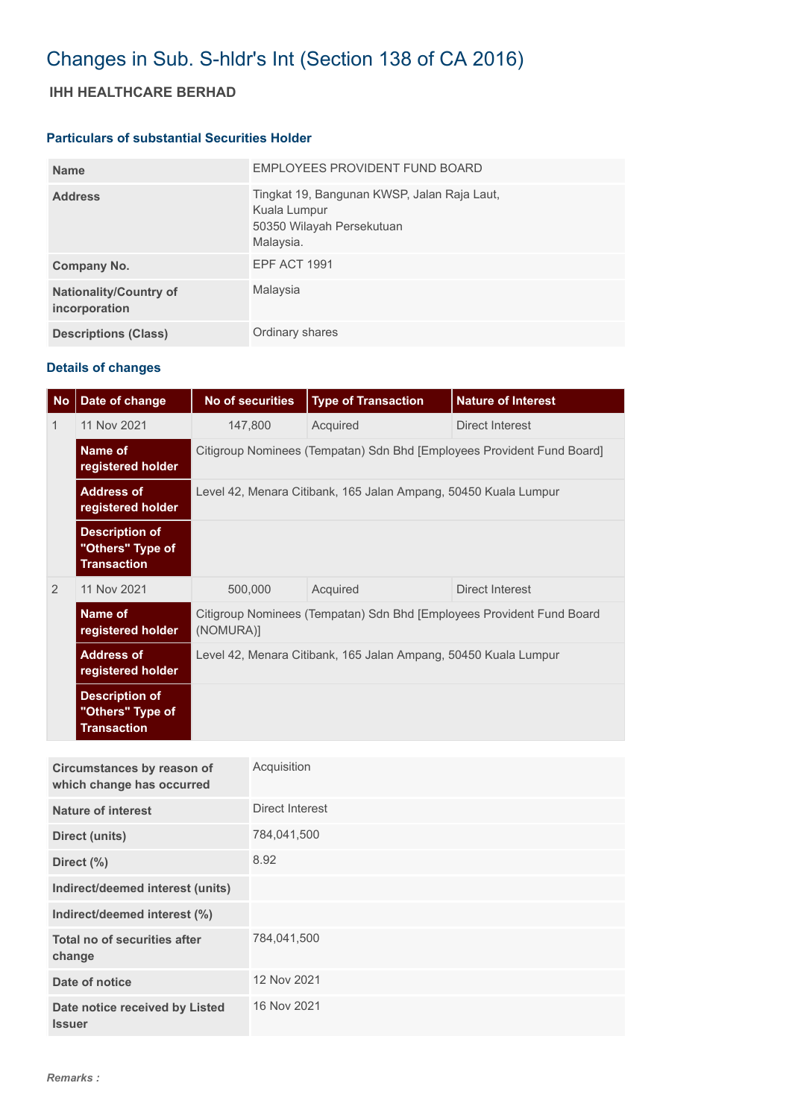## Changes in Sub. S-hldr's Int (Section 138 of CA 2016)

## **IHH HEALTHCARE BERHAD**

## **Particulars of substantial Securities Holder**

| <b>Name</b>                                    | EMPLOYEES PROVIDENT FUND BOARD                                                                        |
|------------------------------------------------|-------------------------------------------------------------------------------------------------------|
| <b>Address</b>                                 | Tingkat 19, Bangunan KWSP, Jalan Raja Laut,<br>Kuala Lumpur<br>50350 Wilayah Persekutuan<br>Malaysia. |
| Company No.                                    | EPF ACT 1991                                                                                          |
| <b>Nationality/Country of</b><br>incorporation | Malaysia                                                                                              |
| <b>Descriptions (Class)</b>                    | Ordinary shares                                                                                       |

## **Details of changes**

| <b>No</b> | Date of change                                                  | <b>No of securities</b>                                                            | <b>Type of Transaction</b> | <b>Nature of Interest</b> |  |  |
|-----------|-----------------------------------------------------------------|------------------------------------------------------------------------------------|----------------------------|---------------------------|--|--|
| 1         | 11 Nov 2021                                                     | 147,800                                                                            | Acquired                   | Direct Interest           |  |  |
|           | Name of<br>registered holder                                    | Citigroup Nominees (Tempatan) Sdn Bhd [Employees Provident Fund Board]             |                            |                           |  |  |
|           | <b>Address of</b><br>registered holder                          | Level 42, Menara Citibank, 165 Jalan Ampang, 50450 Kuala Lumpur                    |                            |                           |  |  |
|           | <b>Description of</b><br>"Others" Type of<br><b>Transaction</b> |                                                                                    |                            |                           |  |  |
| 2         | 11 Nov 2021                                                     | 500,000<br>Acquired                                                                |                            | Direct Interest           |  |  |
|           | Name of<br>registered holder                                    | Citigroup Nominees (Tempatan) Sdn Bhd [Employees Provident Fund Board<br>(NOMURA)] |                            |                           |  |  |
|           | <b>Address of</b><br>registered holder                          | Level 42, Menara Citibank, 165 Jalan Ampang, 50450 Kuala Lumpur                    |                            |                           |  |  |
|           | <b>Description of</b><br>"Others" Type of<br><b>Transaction</b> |                                                                                    |                            |                           |  |  |

| Circumstances by reason of<br>which change has occurred | Acquisition     |
|---------------------------------------------------------|-----------------|
| <b>Nature of interest</b>                               | Direct Interest |
| <b>Direct (units)</b>                                   | 784,041,500     |
| Direct (%)                                              | 8.92            |
| Indirect/deemed interest (units)                        |                 |
| Indirect/deemed interest (%)                            |                 |
| Total no of securities after<br>change                  | 784,041,500     |
| Date of notice                                          | 12 Nov 2021     |
| Date notice received by Listed<br><b>Issuer</b>         | 16 Nov 2021     |